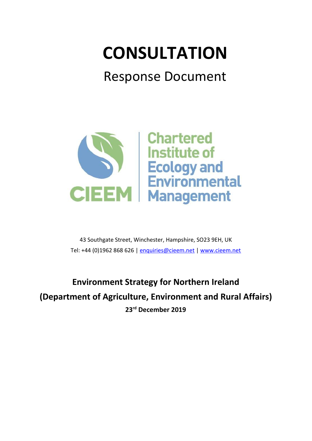# **CONSULTATION**

## Response Document



43 Southgate Street, Winchester, Hampshire, SO23 9EH, UK Tel: +44 (0)1962 868 626 | [enquiries@cieem.net](mailto:enquiries@cieem.net) | [www.cieem.net](http://www.cieem.net/)

**Environment Strategy for Northern Ireland (Department of Agriculture, Environment and Rural Affairs) 23 rd December 2019**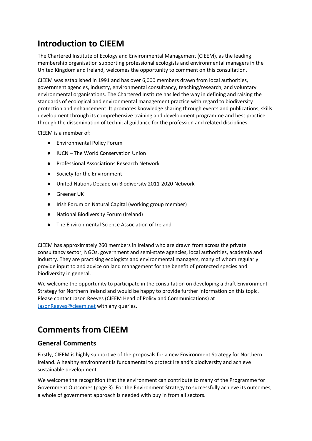## **Introduction to CIEEM**

The Chartered Institute of Ecology and Environmental Management (CIEEM), as the leading membership organisation supporting professional ecologists and environmental managers in the United Kingdom and Ireland, welcomes the opportunity to comment on this consultation.

CIEEM was established in 1991 and has over 6,000 members drawn from local authorities, government agencies, industry, environmental consultancy, teaching/research, and voluntary environmental organisations. The Chartered Institute has led the way in defining and raising the standards of ecological and environmental management practice with regard to biodiversity protection and enhancement. It promotes knowledge sharing through events and publications, skills development through its comprehensive training and development programme and best practice through the dissemination of technical guidance for the profession and related disciplines.

CIEEM is a member of:

- Environmental Policy Forum
- IUCN The World Conservation Union
- Professional Associations Research Network
- Society for the Environment
- United Nations Decade on Biodiversity 2011-2020 Network
- Greener UK
- Irish Forum on Natural Capital (working group member)
- National Biodiversity Forum (Ireland)
- The Environmental Science Association of Ireland

CIEEM has approximately 260 members in Ireland who are drawn from across the private consultancy sector, NGOs, government and semi-state agencies, local authorities, academia and industry. They are practising ecologists and environmental managers, many of whom regularly provide input to and advice on land management for the benefit of protected species and biodiversity in general.

We welcome the opportunity to participate in the consultation on developing a draft Environment Strategy for Northern Ireland and would be happy to provide further information on this topic. Please contact Jason Reeves (CIEEM Head of Policy and Communications) at [JasonReeves@cieem.net](mailto:JasonReeves@cieem.net) with any queries.

### **Comments from CIEEM**

#### **General Comments**

Firstly, CIEEM is highly supportive of the proposals for a new Environment Strategy for Northern Ireland. A healthy environment is fundamental to protect Ireland's biodiversity and achieve sustainable development.

We welcome the recognition that the environment can contribute to many of the Programme for Government Outcomes (page 3). For the Environment Strategy to successfully achieve its outcomes, a whole of government approach is needed with buy in from all sectors.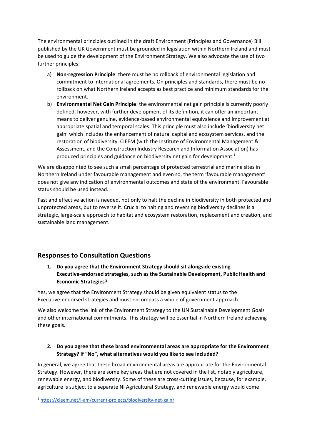The environmental principles outlined in the draft Environment (Principles and Governance) Bill published by the UK Government must be grounded in legislation within Northern Ireland and must be used to guide the development of the Environment Strategy. We also advocate the use of two further principles:

- a) **Non-regression Principle**: there must be no rollback of environmental legislation and commitment to international agreements. On principles and standards, there must be no rollback on what Northern Ireland accepts as best practice and minimum standards for the environment.
- b) **Environmental Net Gain Principle**: the environmental net gain principle is currently poorly defined, however, with further development of its definition, it can offer an important means to deliver genuine, evidence-based environmental equivalence and improvement at appropriate spatial and temporal scales. This principle must also include 'biodiversity net gain' which includes the enhancement of natural capital and ecosystem services, and the restoration of biodiversity. CIEEM (with the Institute of Environmental Management & Assessment, and the Construction Industry Research and Information Association) has produced principles and guidance on biodiversity net gain for development.<sup>1</sup>

We are disappointed to see such a small percentage of protected terrestrial and marine sites in Northern Ireland under favourable management and even so, the term 'favourable management' does not give any indication of environmental outcomes and state of the environment. Favourable status should be used instead.

Fast and effective action is needed, not only to halt the decline in biodiversity in both protected and unprotected areas, but to reverse it. Crucial to halting and reversing biodiversity declines is a strategic, large-scale approach to habitat and ecosystem restoration, replacement and creation, and sustainable land management.

#### **Responses to Consultation Questions**

**1. Do you agree that the Environment Strategy should sit alongside existing Executive-endorsed strategies, such as the Sustainable Development, Public Health and Economic Strategies?**

Yes, we agree that the Environment Strategy should be given equivalent status to the Executive-endorsed strategies and must encompass a whole of government approach.

We also welcome the link of the Environment Strategy to the UN Sustainable Development Goals and other international commitments. This strategy will be essential in Northern Ireland achieving these goals.

#### **2. Do you agree that these broad environmental areas are appropriate for the Environment Strategy? If "No", what alternatives would you like to see included?**

In general, we agree that these broad environmental areas are appropriate for the Environmental Strategy. However, there are some key areas that are not covered in the list, notably agriculture, renewable energy, and biodiversity. Some of these are cross-cutting issues, because, for example, agriculture is subject to a separate NI Agricultural Strategy, and renewable energy would come

<sup>1</sup> <https://cieem.net/i-am/current-projects/biodiversity-net-gain/>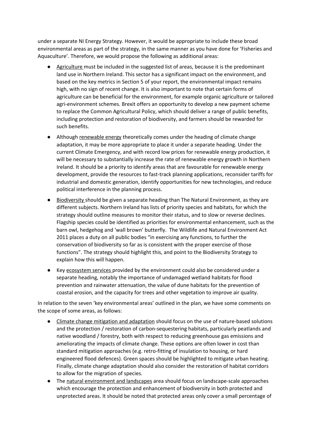under a separate NI Energy Strategy. However, it would be appropriate to include these broad environmental areas as part of the strategy, in the same manner as you have done for 'Fisheries and Aquaculture'. Therefore, we would propose the following as additional areas:

- Agriculture must be included in the suggested list of areas, because it is the predominant land use in Northern Ireland. This sector has a significant impact on the environment, and based on the key metrics in Section 5 of your report, the environmental impact remains high, with no sign of recent change. It is also important to note that certain forms of agriculture can be beneficial for the environment, for example organic agriculture or tailored agri-environment schemes. Brexit offers an opportunity to develop a new payment scheme to replace the Common Agricultural Policy, which should deliver a range of public benefits, including protection and restoration of biodiversity, and farmers should be rewarded for such benefits.
- Although renewable energy theoretically comes under the heading of climate change adaptation, it may be more appropriate to place it under a separate heading. Under the current Climate Emergency, and with record low prices for renewable energy production, it will be necessary to substantially increase the rate of renewable energy growth in Northern Ireland. It should be a priority to identify areas that are favourable for renewable energy development, provide the resources to fast-track planning applications, reconsider tariffs for industrial and domestic generation, identify opportunities for new technologies, and reduce political interference in the planning process.
- Biodiversity should be given a separate heading than The Natural Environment, as they are different subjects. Northern Ireland has lists of priority species and habitats, for which the strategy should outline measures to monitor their status, and to slow or reverse declines. Flagship species could be identified as priorities for environmental enhancement, such as the barn owl, hedgehog and 'wall brown' butterfly. The Wildlife and Natural Environment Act 2011 places a duty on all public bodies "in exercising any functions, to further the conservation of biodiversity so far as is consistent with the proper exercise of those functions". The strategy should highlight this, and point to the Biodiversity Strategy to explain how this will happen.
- Key ecosystem services provided by the environment could also be considered under a separate heading, notably the importance of undamaged wetland habitats for flood prevention and rainwater attenuation, the value of dune habitats for the prevention of coastal erosion, and the capacity for trees and other vegetation to improve air quality.

In relation to the seven 'key environmental areas' outlined in the plan, we have some comments on the scope of some areas, as follows:

- Climate change mitigation and adaptation should focus on the use of nature-based solutions and the protection / restoration of carbon-sequestering habitats, particularly peatlands and native woodland / forestry, both with respect to reducing greenhouse gas emissions and ameliorating the impacts of climate change. These options are often lower in cost than standard mitigation approaches (e.g. retro-fitting of insulation to housing, or hard engineered flood defences). Green spaces should be highlighted to mitigate urban heating. Finally, climate change adaptation should also consider the restoration of habitat corridors to allow for the migration of species.
- The natural environment and landscapes area should focus on landscape-scale approaches which encourage the protection and enhancement of biodiversity in both protected and unprotected areas. It should be noted that protected areas only cover a small percentage of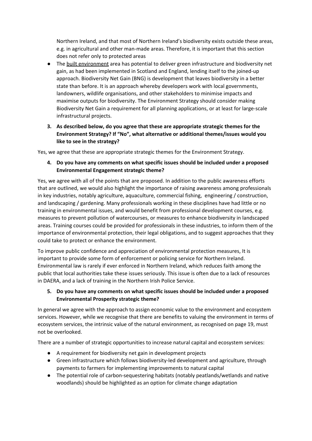Northern Ireland, and that most of Northern Ireland's biodiversity exists outside these areas, e.g. in agricultural and other man-made areas. Therefore, it is important that this section does not refer only to protected areas

- The built environment area has potential to deliver green infrastructure and biodiversity net gain, as had been implemented in Scotland and England, lending itself to the joined-up approach. Biodiversity Net Gain (BNG) is development that leaves biodiversity in a better state than before. It is an approach whereby developers work with local governments, landowners, wildlife organisations, and other stakeholders to minimise impacts and maximise outputs for biodiversity. The Environment Strategy should consider making Biodiversity Net Gain a requirement for all planning applications, or at least for large-scale infrastructural projects.
- **3. As described below, do you agree that these are appropriate strategic themes for the Environment Strategy? If "No", what alternative or additional themes/issues would you like to see in the strategy?**

Yes, we agree that these are appropriate strategic themes for the Environment Strategy.

**4. Do you have any comments on what specific issues should be included under a proposed Environmental Engagement strategic theme?**

Yes, we agree with all of the points that are proposed. In addition to the public awareness efforts that are outlined, we would also highlight the importance of raising awareness among professionals in key industries, notably agriculture, aquaculture, commercial fishing, engineering / construction, and landscaping / gardening. Many professionals working in these disciplines have had little or no training in environmental issues, and would benefit from professional development courses, e.g. measures to prevent pollution of watercourses, or measures to enhance biodiversity in landscaped areas. Training courses could be provided for professionals in these industries, to inform them of the importance of environmental protection, their legal obligations, and to suggest approaches that they could take to protect or enhance the environment.

To improve public confidence and appreciation of environmental protection measures, It is important to provide some form of enforcement or policing service for Northern Ireland. Environmental law is rarely if ever enforced in Northern Ireland, which reduces faith among the public that local authorities take these issues seriously. This issue is often due to a lack of resources in DAERA, and a lack of training in the Northern Irish Police Service.

#### **5. Do you have any comments on what specific issues should be included under a proposed Environmental Prosperity strategic theme?**

In general we agree with the approach to assign economic value to the environment and ecosystem services. However, while we recognise that there are benefits to valuing the environment in terms of ecosystem services, the intrinsic value of the natural environment, as recognised on page 19, must not be overlooked.

There are a number of strategic opportunities to increase natural capital and ecosystem services:

- A requirement for biodiversity net gain in development projects
- Green infrastructure which follows biodiversity-led development and agriculture, through payments to farmers for implementing improvements to natural capital
- The potential role of carbon-sequestering habitats (notably peatlands/wetlands and native woodlands) should be highlighted as an option for climate change adaptation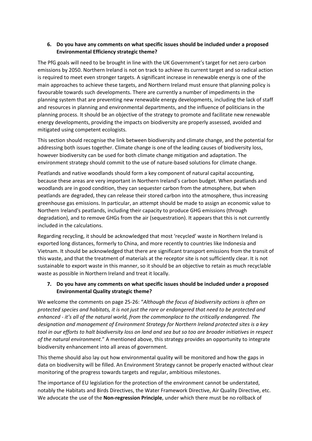#### **6. Do you have any comments on what specific issues should be included under a proposed Environmental Efficiency strategic theme?**

The PfG goals will need to be brought in line with the UK Government's target for net zero carbon emissions by 2050. Northern Ireland is not on track to achieve its current target and so radical action is required to meet even stronger targets. A significant increase in renewable energy is one of the main approaches to achieve these targets, and Northern Ireland must ensure that planning policy is favourable towards such developments. There are currently a number of impediments in the planning system that are preventing new renewable energy developments, including the lack of staff and resources in planning and environmental departments, and the influence of politicians in the planning process. It should be an objective of the strategy to promote and facilitate new renewable energy developments, providing the impacts on biodiversity are properly assessed, avoided and mitigated using competent ecologists.

This section should recognise the link between biodiversity and climate change, and the potential for addressing both issues together. Climate change is one of the leading causes of biodiversity loss, however biodiversity can be used for both climate change mitigation and adaptation. The environment strategy should commit to the use of nature-based solutions for climate change.

Peatlands and native woodlands should form a key component of natural capital accounting, because these areas are very important in Northern Ireland's carbon budget. When peatlands and woodlands are in good condition, they can sequester carbon from the atmosphere, but when peatlands are degraded, they can release their stored carbon into the atmosphere, thus increasing greenhouse gas emissions. In particular, an attempt should be made to assign an economic value to Northern Ireland's peatlands, including their capacity to produce GHG emissions (through degradation), and to remove GHGs from the air (sequestration). It appears that this is not currently included in the calculations.

Regarding recycling, it should be acknowledged that most 'recycled' waste in Northern Ireland is exported long distances, formerly to China, and more recently to countries like Indonesia and Vietnam. It should be acknowledged that there are significant transport emissions from the transit of this waste, and that the treatment of materials at the receptor site is not sufficiently clear. It is not sustainable to export waste in this manner, so it should be an objective to retain as much recyclable waste as possible in Northern Ireland and treat it locally.

#### **7. Do you have any comments on what specific issues should be included under a proposed Environmental Quality strategic theme?**

We welcome the comments on page 25-26: "*Although the focus of biodiversity actions is often on* protected species and habitats, it is not just the rare or endangered that need to be protected and *enhanced - it's all of the natural world, from the commonplace to the critically endangered. The designation and management of Environment Strategy for Northern Ireland protected sites is a key* tool in our efforts to halt biodiversity loss on land and sea but so too are broader initiatives in respect *of the natural environment*." A mentioned above, this strategy provides an opportunity to integrate biodiversity enhancement into all areas of government.

This theme should also lay out how environmental quality will be monitored and how the gaps in data on biodiversity will be filled. An Environment Strategy cannot be properly enacted without clear monitoring of the progress towards targets and regular, ambitious milestones.

The importance of EU legislation for the protection of the environment cannot be understated, notably the Habitats and Birds Directives, the Water Framework Directive, Air Quality Directive, etc. We advocate the use of the **Non-regression Principle**, under which there must be no rollback of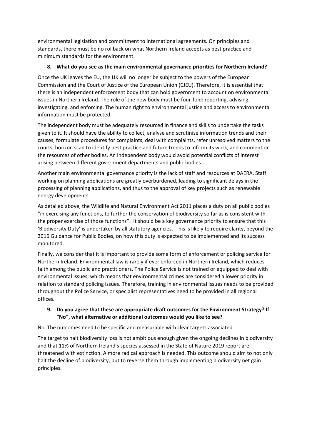environmental legislation and commitment to international agreements. On principles and standards, there must be no rollback on what Northern Ireland accepts as best practice and minimum standards for the environment.

#### **8. What do you see as the main environmental governance priorities for Northern Ireland?**

Once the UK leaves the EU, the UK will no longer be subject to the powers of the European Commission and the Court of Justice of the European Union (CJEU). Therefore, it is essential that there is an independent enforcement body that can hold government to account on environmental issues in Northern Ireland. The role of the new body must be four-fold: reporting, advising, investigating, and enforcing. The human right to environmental justice and access to environmental information must be protected.

The independent body must be adequately resourced in finance and skills to undertake the tasks given to it. It should have the ability to collect, analyse and scrutinise information trends and their causes, formulate procedures for complaints, deal with complaints, refer unresolved matters to the courts, horizon scan to identify best practice and future trends to inform its work, and comment on the resources of other bodies. An independent body would avoid potential conflicts of interest arising between different government departments and public bodies.

Another main environmental governance priority is the lack of staff and resources at DAERA. Staff working on planning applications are greatly overburdened, leading to significant delays in the processing of planning applications, and thus to the approval of key projects such as renewable energy developments.

As detailed above, the Wildlife and Natural Environment Act 2011 places a duty on all public bodies "in exercising any functions, to further the conservation of biodiversity so far as is consistent with the proper exercise of those functions". It should be a key governance priority to ensure that this 'Biodiversity Duty' is undertaken by all statutory agencies. This is likely to require clarity, beyond the 2016 Guidance for Public Bodies, on how this duty is expected to be implemented and its success monitored.

Finally, we consider that it is important to provide some form of enforcement or policing service for Northern Ireland. Environmental law is rarely if ever enforced in Northern Ireland, which reduces faith among the public and practitioners. The Police Service is not trained or equipped to deal with environmental issues, which means that environmental crimes are considered a lower priority in relation to standard policing issues. Therefore, training in environmental issues needs to be provided throughout the Police Service, or specialist representatives need to be provided in all regional offices.

#### **9. Do you agree that these are appropriate draft outcomes for the Environment Strategy? If "No", what alternative or additional outcomes would you like to see?**

No. The outcomes need to be specific and measurable with clear targets associated.

The target to halt biodiversity loss is not ambitious enough given the ongoing declines in biodiversity and that 11% of Northern Ireland's species assessed in the State of Nature 2019 report are threatened with extinction. A more radical approach is needed. This outcome should aim to not only halt the decline of biodiversity, but to reverse them through implementing biodiversity net gain principles.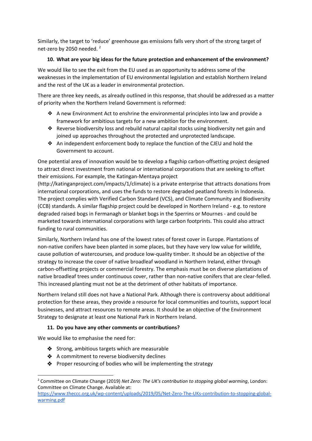Similarly, the target to 'reduce' greenhouse gas emissions falls very short of the strong target of net-zero by 2050 needed.<sup>2</sup>

#### **10. What are your big ideas for the future protection and enhancement of the environment?**

We would like to see the exit from the EU used as an opportunity to address some of the weaknesses in the implementation of EU environmental legislation and establish Northern Ireland and the rest of the UK as a leader in environmental protection.

There are three key needs, as already outlined in this response, that should be addressed as a matter of priority when the Northern Ireland Government is reformed:

- ❖ A new Environment Act to enshrine the environmental principles into law and provide a framework for ambitious targets for a new ambition for the environment.
- ❖ Reverse biodiversity loss and rebuild natural capital stocks using biodiversity net gain and joined up approaches throughout the protected and unprotected landscape.
- ❖ An independent enforcement body to replace the function of the CJEU and hold the Government to account.

One potential area of innovation would be to develop a flagship carbon-offsetting project designed to attract direct investment from national or international corporations that are seeking to offset their emissions. For example, the Katingan-Mentaya project

(http://katinganproject.com/impacts/1/climate) is a private enterprise that attracts donations from international corporations, and uses the funds to restore degraded peatland forests in Indonesia. The project complies with Verified Carbon Standard (VCS), and Climate Community and Biodiversity (CCB) standards. A similar flagship project could be developed in Northern Ireland - e.g. to restore degraded raised bogs in Fermanagh or blanket bogs in the Sperrins or Mournes - and could be marketed towards international corporations with large carbon footprints. This could also attract funding to rural communities.

Similarly, Northern Ireland has one of the lowest rates of forest cover in Europe. Plantations of non-native conifers have been planted in some places, but they have very low value for wildlife, cause pollution of watercourses, and produce low-quality timber. It should be an objective of the strategy to increase the cover of native broadleaf woodland in Northern Ireland, either through carbon-offsetting projects or commercial forestry. The emphasis must be on diverse plantations of native broadleaf trees under continuous cover, rather than non-native conifers that are clear-felled. This increased planting must not be at the detriment of other habitats of importance.

Northern Ireland still does not have a National Park. Although there is controversy about additional protection for these areas, they provide a resource for local communities and tourists, support local businesses, and attract resources to remote areas. It should be an objective of the Environment Strategy to designate at least one National Park in Northern Ireland.

#### **11. Do you have any other comments or contributions?**

We would like to emphasise the need for:

- ❖ Strong, ambitious targets which are measurable
- ❖ A commitment to reverse biodiversity declines
- ❖ Proper resourcing of bodies who will be implementing the strategy

<sup>2</sup> Committee on Climate Change (2019) *Net Zero: The UK's contribution to stopping global warming*, London: Committee on Climate Change. Available at:

[https://www.theccc.org.uk/wp-content/uploads/2019/05/Net-Zero-The-UKs-contribution-to-stopping-global](https://www.theccc.org.uk/wp-content/uploads/2019/05/Net-Zero-The-UKs-contribution-to-stopping-global-warming.pdf)[warming.pdf](https://www.theccc.org.uk/wp-content/uploads/2019/05/Net-Zero-The-UKs-contribution-to-stopping-global-warming.pdf)